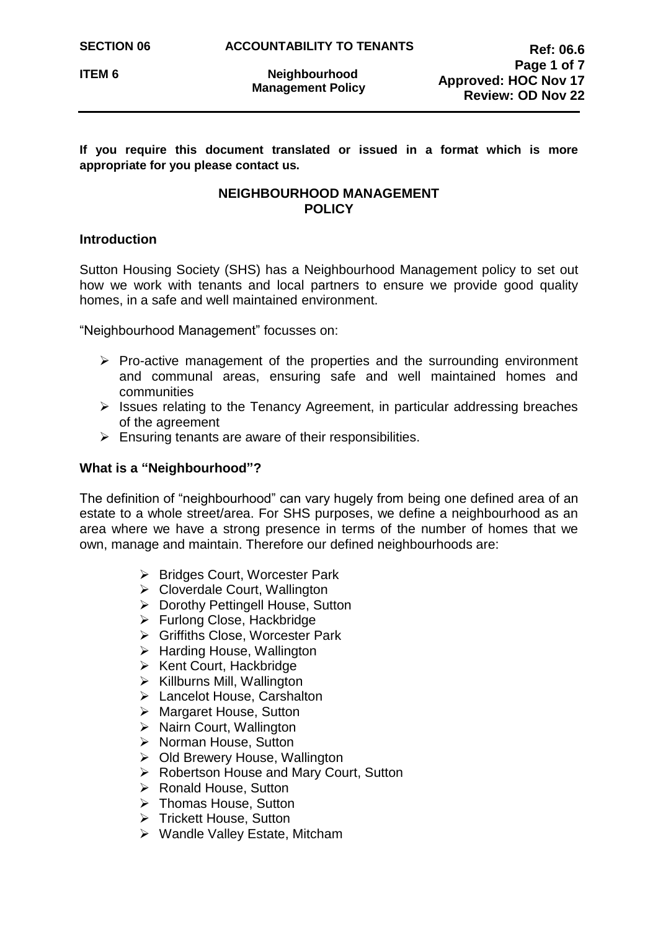**If you require this document translated or issued in a format which is more appropriate for you please contact us.**

# **NEIGHBOURHOOD MANAGEMENT POLICY**

## **Introduction**

Sutton Housing Society (SHS) has a Neighbourhood Management policy to set out how we work with tenants and local partners to ensure we provide good quality homes, in a safe and well maintained environment.

"Neighbourhood Management" focusses on:

- $\triangleright$  Pro-active management of the properties and the surrounding environment and communal areas, ensuring safe and well maintained homes and communities
- $\triangleright$  Issues relating to the Tenancy Agreement, in particular addressing breaches of the agreement
- $\triangleright$  Ensuring tenants are aware of their responsibilities.

## **What is a "Neighbourhood"?**

The definition of "neighbourhood" can vary hugely from being one defined area of an estate to a whole street/area. For SHS purposes, we define a neighbourhood as an area where we have a strong presence in terms of the number of homes that we own, manage and maintain. Therefore our defined neighbourhoods are:

- ▶ Bridges Court, Worcester Park
- ▶ Cloverdale Court, Wallington
- ▶ Dorothy Pettingell House, Sutton
- ▶ Furlong Close, Hackbridge
- ▶ Griffiths Close, Worcester Park
- $\triangleright$  Harding House, Wallington
- $\triangleright$  Kent Court, Hackbridge
- $\triangleright$  Killburns Mill, Wallington
- > Lancelot House, Carshalton
- **▶ Margaret House, Sutton**
- $\triangleright$  Nairn Court, Wallington
- ▶ Norman House, Sutton
- ▶ Old Brewery House, Wallington
- ▶ Robertson House and Mary Court, Sutton
- **EXA Ronald House, Sutton**
- **▶ Thomas House, Sutton**
- $\triangleright$  Trickett House, Sutton
- ▶ Wandle Valley Estate, Mitcham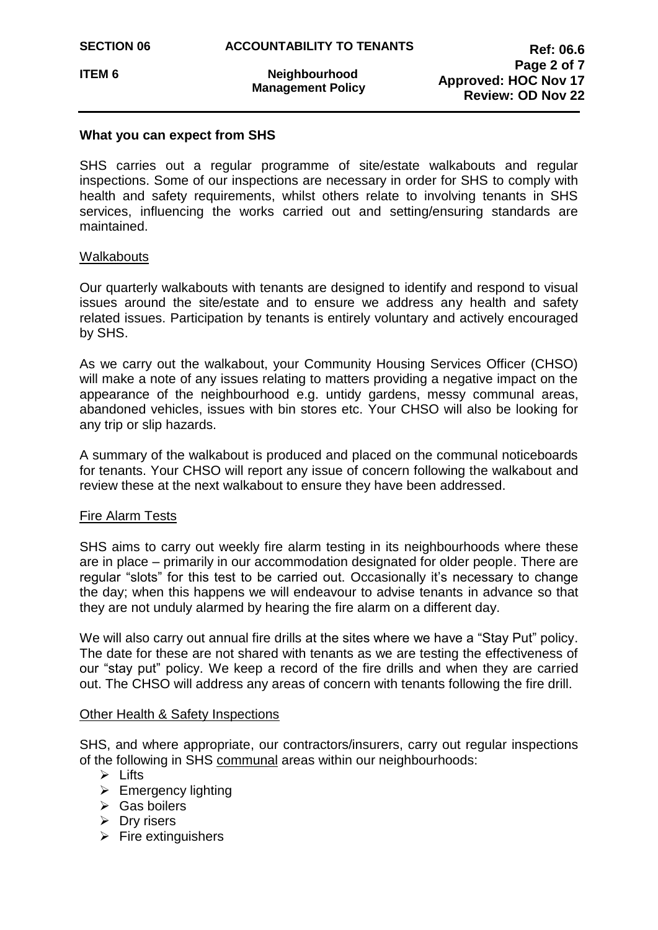## **What you can expect from SHS**

SHS carries out a regular programme of site/estate walkabouts and regular inspections. Some of our inspections are necessary in order for SHS to comply with health and safety requirements, whilst others relate to involving tenants in SHS services, influencing the works carried out and setting/ensuring standards are maintained.

## Walkabouts

Our quarterly walkabouts with tenants are designed to identify and respond to visual issues around the site/estate and to ensure we address any health and safety related issues. Participation by tenants is entirely voluntary and actively encouraged by SHS.

As we carry out the walkabout, your Community Housing Services Officer (CHSO) will make a note of any issues relating to matters providing a negative impact on the appearance of the neighbourhood e.g. untidy gardens, messy communal areas, abandoned vehicles, issues with bin stores etc. Your CHSO will also be looking for any trip or slip hazards.

A summary of the walkabout is produced and placed on the communal noticeboards for tenants. Your CHSO will report any issue of concern following the walkabout and review these at the next walkabout to ensure they have been addressed.

## Fire Alarm Tests

SHS aims to carry out weekly fire alarm testing in its neighbourhoods where these are in place – primarily in our accommodation designated for older people. There are regular "slots" for this test to be carried out. Occasionally it's necessary to change the day; when this happens we will endeavour to advise tenants in advance so that they are not unduly alarmed by hearing the fire alarm on a different day.

We will also carry out annual fire drills at the sites where we have a "Stay Put" policy. The date for these are not shared with tenants as we are testing the effectiveness of our "stay put" policy. We keep a record of the fire drills and when they are carried out. The CHSO will address any areas of concern with tenants following the fire drill.

## Other Health & Safety Inspections

SHS, and where appropriate, our contractors/insurers, carry out regular inspections of the following in SHS communal areas within our neighbourhoods:

- $\triangleright$  Lifts
- $\triangleright$  Emergency lighting
- $\triangleright$  Gas boilers
- $\triangleright$  Dry risers
- $\triangleright$  Fire extinguishers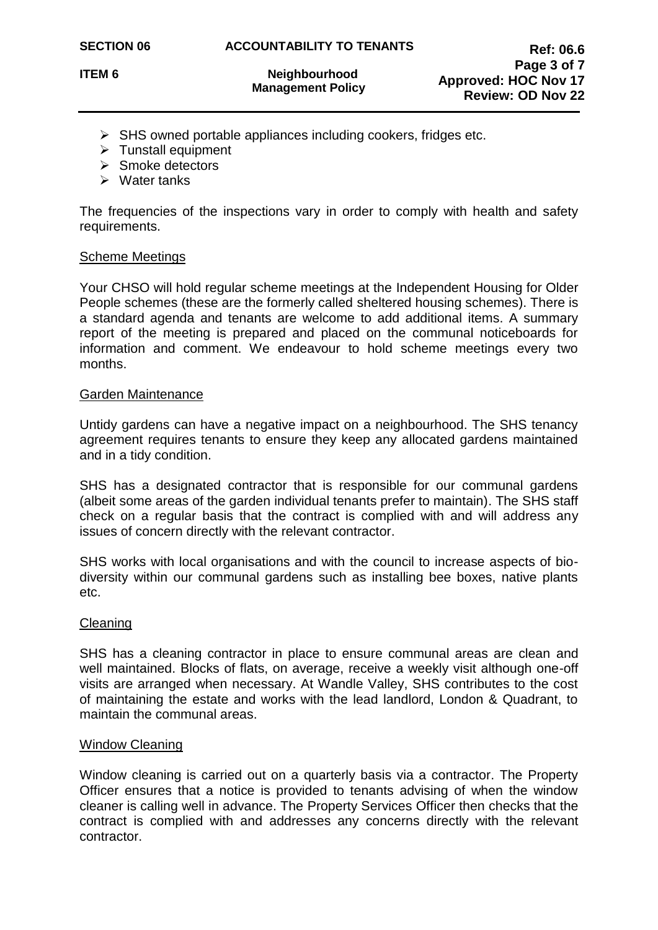- $\triangleright$  SHS owned portable appliances including cookers, fridges etc.
- $\triangleright$  Tunstall equipment
- $\triangleright$  Smoke detectors
- $\triangleright$  Water tanks

The frequencies of the inspections vary in order to comply with health and safety requirements.

#### Scheme Meetings

Your CHSO will hold regular scheme meetings at the Independent Housing for Older People schemes (these are the formerly called sheltered housing schemes). There is a standard agenda and tenants are welcome to add additional items. A summary report of the meeting is prepared and placed on the communal noticeboards for information and comment. We endeavour to hold scheme meetings every two months.

#### Garden Maintenance

Untidy gardens can have a negative impact on a neighbourhood. The SHS tenancy agreement requires tenants to ensure they keep any allocated gardens maintained and in a tidy condition.

SHS has a designated contractor that is responsible for our communal gardens (albeit some areas of the garden individual tenants prefer to maintain). The SHS staff check on a regular basis that the contract is complied with and will address any issues of concern directly with the relevant contractor.

SHS works with local organisations and with the council to increase aspects of biodiversity within our communal gardens such as installing bee boxes, native plants etc.

#### **Cleaning**

SHS has a cleaning contractor in place to ensure communal areas are clean and well maintained. Blocks of flats, on average, receive a weekly visit although one-off visits are arranged when necessary. At Wandle Valley, SHS contributes to the cost of maintaining the estate and works with the lead landlord, London & Quadrant, to maintain the communal areas.

## Window Cleaning

Window cleaning is carried out on a quarterly basis via a contractor. The Property Officer ensures that a notice is provided to tenants advising of when the window cleaner is calling well in advance. The Property Services Officer then checks that the contract is complied with and addresses any concerns directly with the relevant contractor.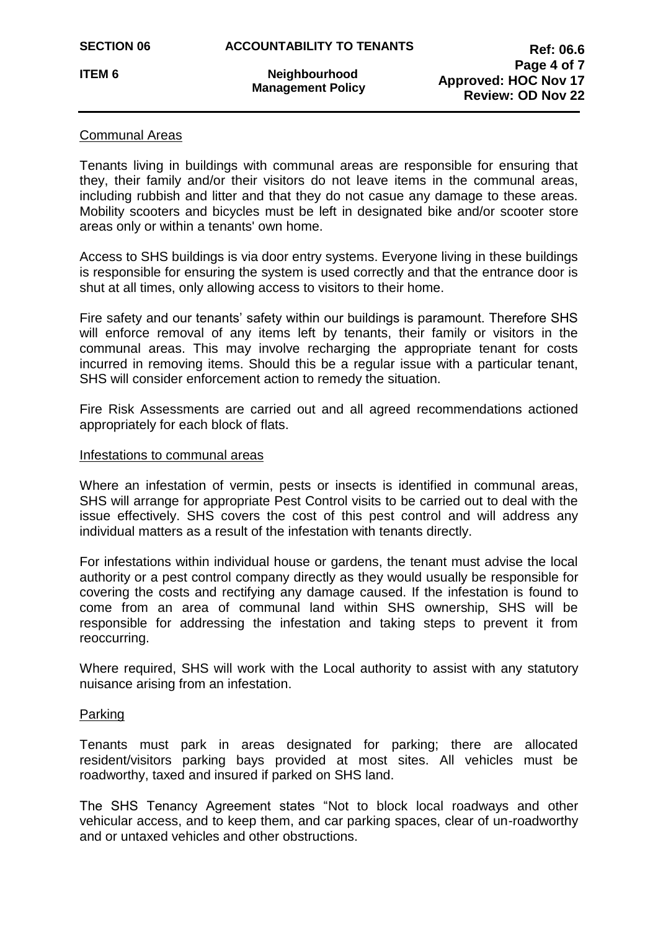## Communal Areas

Tenants living in buildings with communal areas are responsible for ensuring that they, their family and/or their visitors do not leave items in the communal areas, including rubbish and litter and that they do not casue any damage to these areas. Mobility scooters and bicycles must be left in designated bike and/or scooter store areas only or within a tenants' own home.

Access to SHS buildings is via door entry systems. Everyone living in these buildings is responsible for ensuring the system is used correctly and that the entrance door is shut at all times, only allowing access to visitors to their home.

Fire safety and our tenants' safety within our buildings is paramount. Therefore SHS will enforce removal of any items left by tenants, their family or visitors in the communal areas. This may involve recharging the appropriate tenant for costs incurred in removing items. Should this be a regular issue with a particular tenant, SHS will consider enforcement action to remedy the situation.

Fire Risk Assessments are carried out and all agreed recommendations actioned appropriately for each block of flats.

#### Infestations to communal areas

Where an infestation of vermin, pests or insects is identified in communal areas, SHS will arrange for appropriate Pest Control visits to be carried out to deal with the issue effectively. SHS covers the cost of this pest control and will address any individual matters as a result of the infestation with tenants directly.

For infestations within individual house or gardens, the tenant must advise the local authority or a pest control company directly as they would usually be responsible for covering the costs and rectifying any damage caused. If the infestation is found to come from an area of communal land within SHS ownership, SHS will be responsible for addressing the infestation and taking steps to prevent it from reoccurring.

Where required, SHS will work with the Local authority to assist with any statutory nuisance arising from an infestation.

## Parking

Tenants must park in areas designated for parking; there are allocated resident/visitors parking bays provided at most sites. All vehicles must be roadworthy, taxed and insured if parked on SHS land.

The SHS Tenancy Agreement states "Not to block local roadways and other vehicular access, and to keep them, and car parking spaces, clear of un-roadworthy and or untaxed vehicles and other obstructions.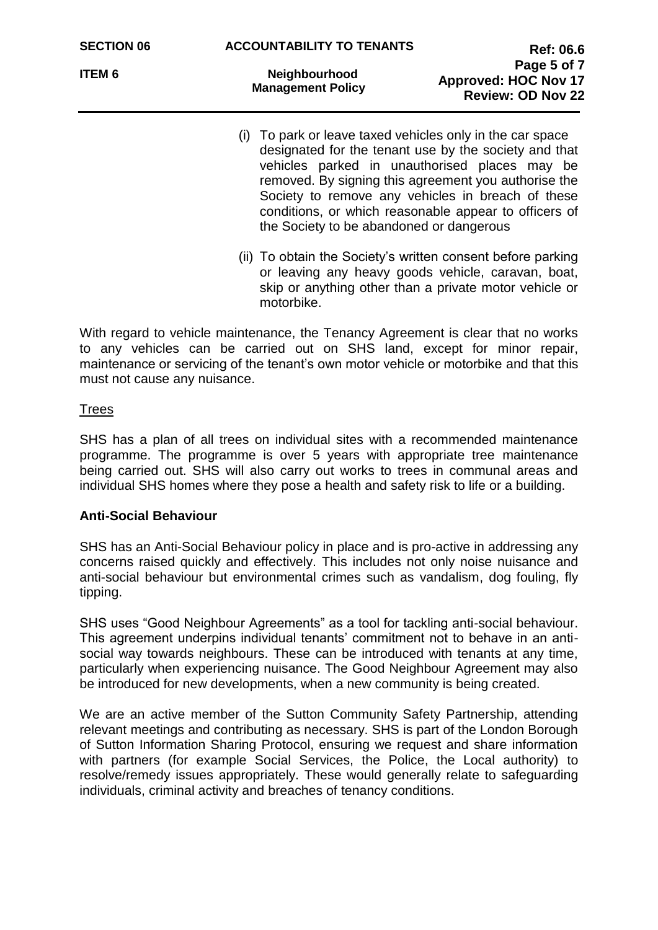- (i) To park or leave taxed vehicles only in the car space designated for the tenant use by the society and that vehicles parked in unauthorised places may be removed. By signing this agreement you authorise the Society to remove any vehicles in breach of these conditions, or which reasonable appear to officers of the Society to be abandoned or dangerous
- (ii) To obtain the Society's written consent before parking or leaving any heavy goods vehicle, caravan, boat, skip or anything other than a private motor vehicle or motorbike.

With regard to vehicle maintenance, the Tenancy Agreement is clear that no works to any vehicles can be carried out on SHS land, except for minor repair, maintenance or servicing of the tenant's own motor vehicle or motorbike and that this must not cause any nuisance.

## **Trees**

SHS has a plan of all trees on individual sites with a recommended maintenance programme. The programme is over 5 years with appropriate tree maintenance being carried out. SHS will also carry out works to trees in communal areas and individual SHS homes where they pose a health and safety risk to life or a building.

## **Anti-Social Behaviour**

SHS has an Anti-Social Behaviour policy in place and is pro-active in addressing any concerns raised quickly and effectively. This includes not only noise nuisance and anti-social behaviour but environmental crimes such as vandalism, dog fouling, fly tipping.

SHS uses "Good Neighbour Agreements" as a tool for tackling anti-social behaviour. This agreement underpins individual tenants' commitment not to behave in an antisocial way towards neighbours. These can be introduced with tenants at any time, particularly when experiencing nuisance. The Good Neighbour Agreement may also be introduced for new developments, when a new community is being created.

We are an active member of the Sutton Community Safety Partnership, attending relevant meetings and contributing as necessary. SHS is part of the London Borough of Sutton Information Sharing Protocol, ensuring we request and share information with partners (for example Social Services, the Police, the Local authority) to resolve/remedy issues appropriately. These would generally relate to safeguarding individuals, criminal activity and breaches of tenancy conditions.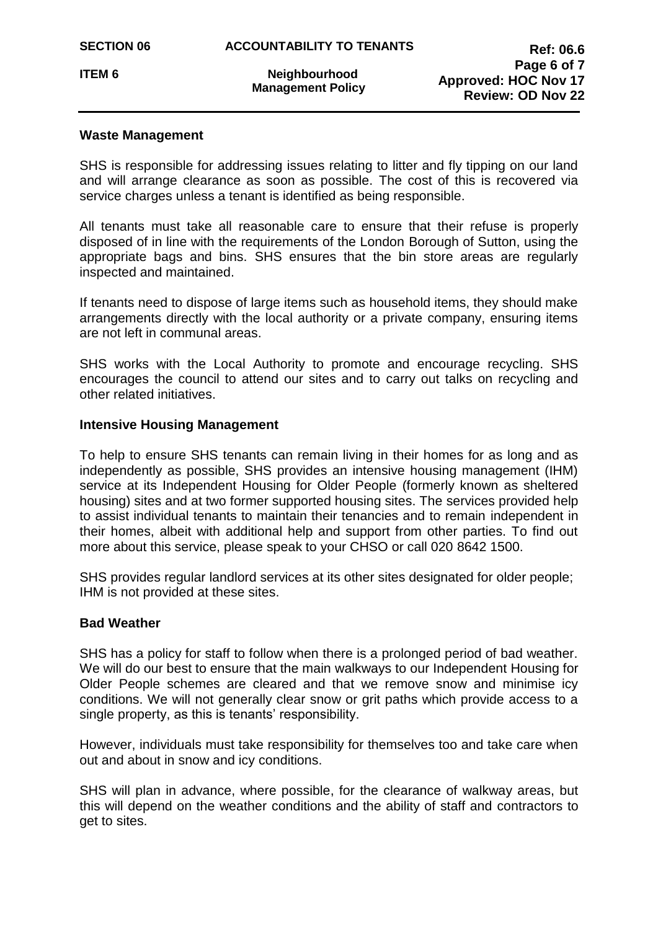## **Waste Management**

SHS is responsible for addressing issues relating to litter and fly tipping on our land and will arrange clearance as soon as possible. The cost of this is recovered via service charges unless a tenant is identified as being responsible.

All tenants must take all reasonable care to ensure that their refuse is properly disposed of in line with the requirements of the London Borough of Sutton, using the appropriate bags and bins. SHS ensures that the bin store areas are regularly inspected and maintained.

If tenants need to dispose of large items such as household items, they should make arrangements directly with the local authority or a private company, ensuring items are not left in communal areas.

SHS works with the Local Authority to promote and encourage recycling. SHS encourages the council to attend our sites and to carry out talks on recycling and other related initiatives.

## **Intensive Housing Management**

To help to ensure SHS tenants can remain living in their homes for as long and as independently as possible, SHS provides an intensive housing management (IHM) service at its Independent Housing for Older People (formerly known as sheltered housing) sites and at two former supported housing sites. The services provided help to assist individual tenants to maintain their tenancies and to remain independent in their homes, albeit with additional help and support from other parties. To find out more about this service, please speak to your CHSO or call 020 8642 1500.

SHS provides regular landlord services at its other sites designated for older people; IHM is not provided at these sites.

## **Bad Weather**

SHS has a policy for staff to follow when there is a prolonged period of bad weather. We will do our best to ensure that the main walkways to our Independent Housing for Older People schemes are cleared and that we remove snow and minimise icy conditions. We will not generally clear snow or grit paths which provide access to a single property, as this is tenants' responsibility.

However, individuals must take responsibility for themselves too and take care when out and about in snow and icy conditions.

SHS will plan in advance, where possible, for the clearance of walkway areas, but this will depend on the weather conditions and the ability of staff and contractors to get to sites.